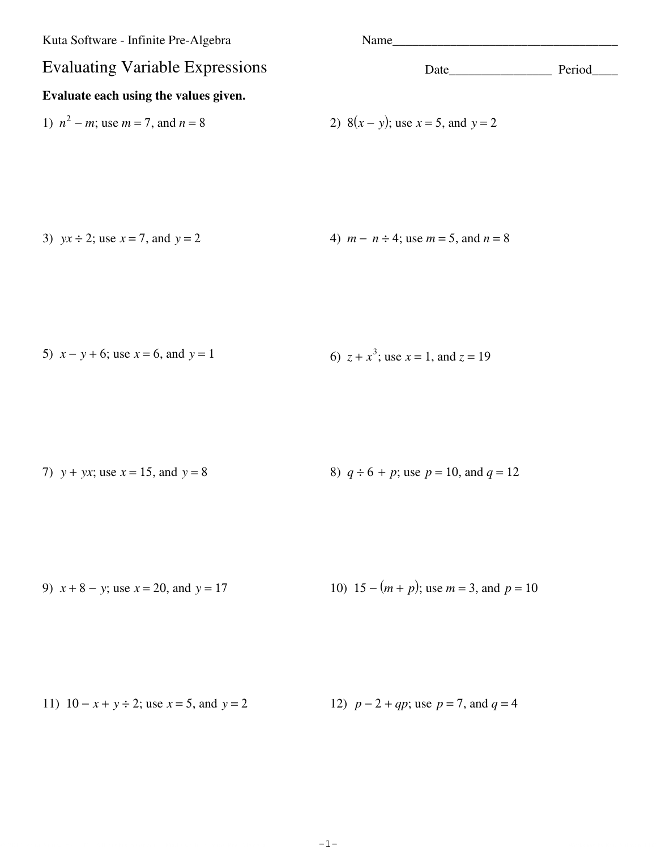| Name                                      |        |
|-------------------------------------------|--------|
| Date                                      | Period |
|                                           |        |
| 2) $8(x - y)$ ; use $x = 5$ , and $y = 2$ |        |
|                                           |        |
|                                           |        |

3)  $yx \div 2$ ; use  $x = 7$ , and  $y = 2$  4)  $m - n \div 4$ ; use  $m = 5$ , and  $n = 8$ 

5) 
$$
x - y + 6
$$
; use  $x = 6$ , and  $y = 1$   
6)  $z + x3$ ; use  $x = 1$ , and  $z = 19$ 

7)  $y + yx$ ; use  $x = 15$ , and  $y = 8$  8)  $q \div 6 + p$ ; use  $p = 10$ , and  $q = 12$ 

9)  $x + 8 - y$ ; use  $x = 20$ , and  $y = 17$  10)  $15 - (m + p)$ ; use  $m = 3$ , and  $p = 10$ 

11)  $10 - x + y \div 2$ ; use  $x = 5$ , and  $y = 2$  12)  $p - 2 + qp$ ; use  $p = 7$ , and  $q = 4$ 

© 2011 Kuta Software LLC. All rights reserved. Made with Iafinite Pre-Algebra.  $-1 \cdots$   $-1 \cdots$  . Worksheet by Kuta Software LLC. -1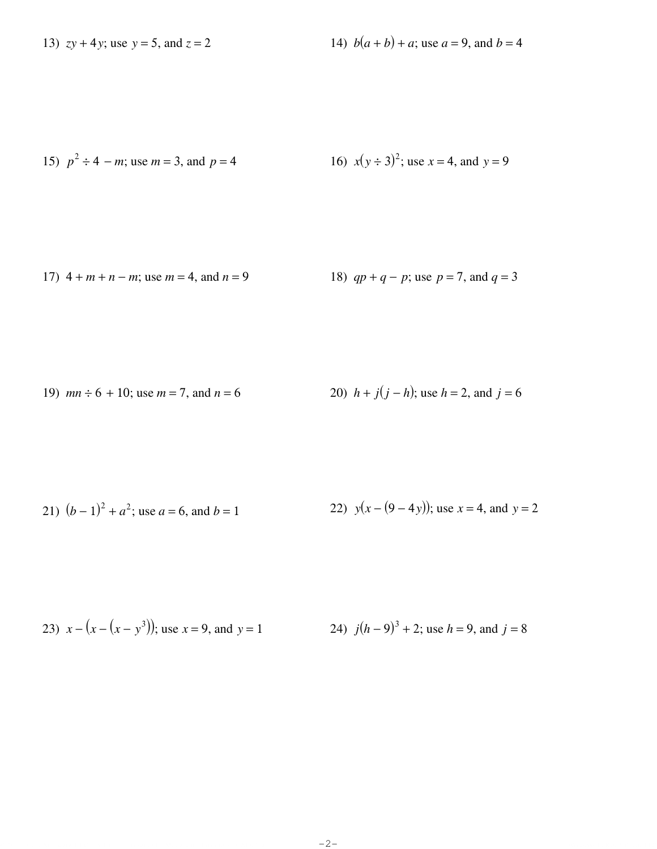13)  $zy + 4y$ ; use  $y = 5$ , and  $z = 2$ 

14)  $b(a + b) + a$ ; use  $a = 9$ , and  $b = 4$ 

15) 
$$
p^2 \div 4 - m
$$
; use  $m = 3$ , and  $p = 4$   
16)  $x(y \div 3)^2$ ; use  $x = 4$ , and  $y = 9$ 

17) 
$$
4 + m + n - m
$$
; use  $m = 4$ , and  $n = 9$   
18)  $qp + q - p$ ; use  $p = 7$ , and  $q = 3$ 

19) 
$$
mn \div 6 + 10
$$
; use  $m = 7$ , and  $n = 6$   
20)  $h + j(j - h)$ ; use  $h = 2$ , and  $j = 6$ 

21) 
$$
(b-1)^2 + a^2
$$
; use  $a = 6$ , and  $b = 1$   
22)  $y(x - (9-4y))$ ; use  $x = 4$ , and  $y = 2$ 

23) 
$$
x - (x - (x - y^3))
$$
; use  $x = 9$ , and  $y = 1$   
24)  $j(h - 9)^3 + 2$ ; use  $h = 9$ , and  $j = 8$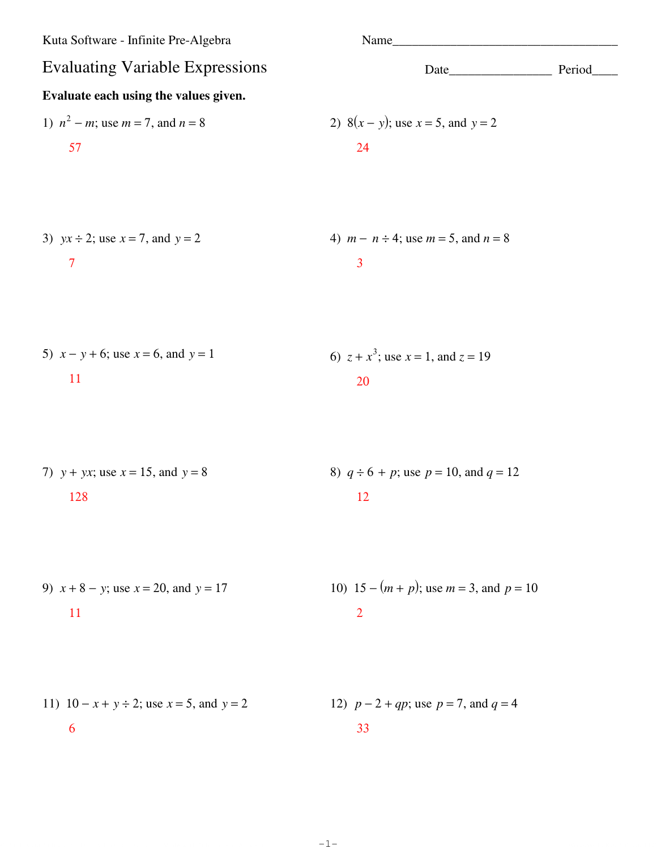Kuta Software - Infinite Pre-Algebra

\nEvaluate each using the values given.

\n1) 
$$
n^2 - m
$$
, use  $m = 7$ , and  $n = 8$ 

\n2)  $8(x - y)$ ; use  $x = 5$ , and  $y = 2$ 

\n3)  $yx + 2$ ; use  $x = 7$ , and  $y = 2$ 

\n4)  $m - n \div 4$ ; use  $m = 5$ , and  $n = 8$ 

\n5)  $x - y + 6$ ; use  $x = 6$ , and  $y = 1$ 

\n6)  $z + x^3$ ; use  $x = 1$ , and  $z = 19$ 

\n7)  $y + yx$ ; use  $x = 15$ , and  $y = 8$ 

\n8)  $q \div 6 + p$ ; use  $p = 10$ , and  $q = 12$ 

\n9)  $x + 8 - y$ ; use  $x = 20$ , and  $y = 17$ 

\n10)  $15 - (m + p)$ ; use  $m = 3$ , and  $p = 10$ 

\n11)  $10 - x + y \div 2$ ; use  $x = 5$ , and  $y = 2$ 

\n12)  $p - 2 + qp$ ; use  $p = 7$ , and  $q = 4$ 

\n13

© 2011 Kuta Software LLC. All rights reserved. Made with Infinite Fre-Algebra.  $-1-$ -1-